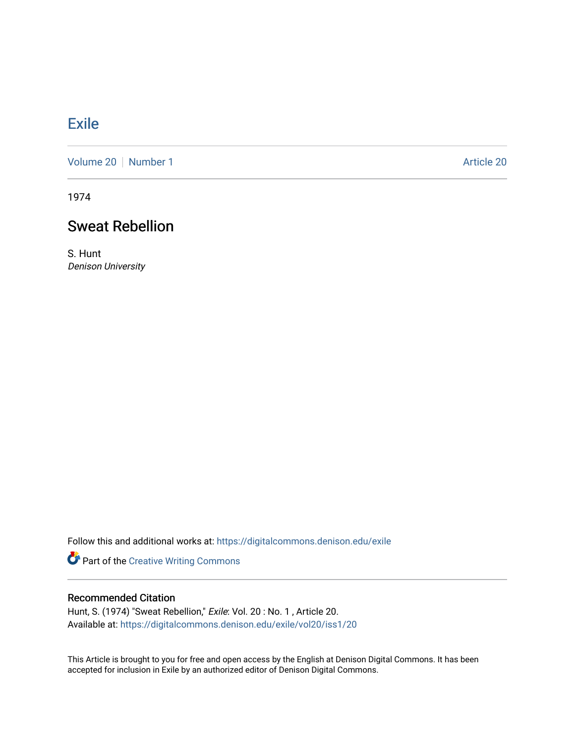# **[Exile](https://digitalcommons.denison.edu/exile)**

[Volume 20](https://digitalcommons.denison.edu/exile/vol20) [Number 1](https://digitalcommons.denison.edu/exile/vol20/iss1) Article 20

1974

# Sweat Rebellion

S. Hunt Denison University

Follow this and additional works at: [https://digitalcommons.denison.edu/exile](https://digitalcommons.denison.edu/exile?utm_source=digitalcommons.denison.edu%2Fexile%2Fvol20%2Fiss1%2F20&utm_medium=PDF&utm_campaign=PDFCoverPages) 

Part of the [Creative Writing Commons](http://network.bepress.com/hgg/discipline/574?utm_source=digitalcommons.denison.edu%2Fexile%2Fvol20%2Fiss1%2F20&utm_medium=PDF&utm_campaign=PDFCoverPages) 

### Recommended Citation

Hunt, S. (1974) "Sweat Rebellion," Exile: Vol. 20 : No. 1 , Article 20. Available at: [https://digitalcommons.denison.edu/exile/vol20/iss1/20](https://digitalcommons.denison.edu/exile/vol20/iss1/20?utm_source=digitalcommons.denison.edu%2Fexile%2Fvol20%2Fiss1%2F20&utm_medium=PDF&utm_campaign=PDFCoverPages)

This Article is brought to you for free and open access by the English at Denison Digital Commons. It has been accepted for inclusion in Exile by an authorized editor of Denison Digital Commons.